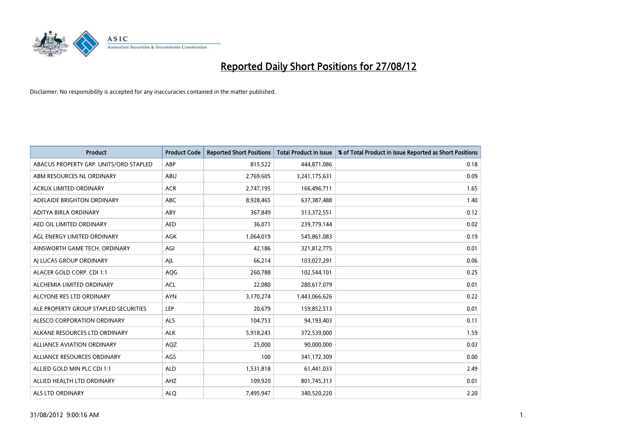

| <b>Product</b>                         | <b>Product Code</b> | <b>Reported Short Positions</b> | <b>Total Product in Issue</b> | % of Total Product in Issue Reported as Short Positions |
|----------------------------------------|---------------------|---------------------------------|-------------------------------|---------------------------------------------------------|
| ABACUS PROPERTY GRP. UNITS/ORD STAPLED | ABP                 | 815,522                         | 444,871,086                   | 0.18                                                    |
| ABM RESOURCES NL ORDINARY              | ABU                 | 2,769,605                       | 3,241,175,631                 | 0.09                                                    |
| <b>ACRUX LIMITED ORDINARY</b>          | <b>ACR</b>          | 2,747,195                       | 166,496,711                   | 1.65                                                    |
| ADELAIDE BRIGHTON ORDINARY             | <b>ABC</b>          | 8,928,465                       | 637,387,488                   | 1.40                                                    |
| <b>ADITYA BIRLA ORDINARY</b>           | ABY                 | 367,849                         | 313,372,551                   | 0.12                                                    |
| AED OIL LIMITED ORDINARY               | <b>AED</b>          | 36,071                          | 239,779,144                   | 0.02                                                    |
| AGL ENERGY LIMITED ORDINARY            | AGK                 | 1,064,019                       | 545,861,083                   | 0.19                                                    |
| AINSWORTH GAME TECH. ORDINARY          | AGI                 | 42,186                          | 321,812,775                   | 0.01                                                    |
| AI LUCAS GROUP ORDINARY                | AJL                 | 66,214                          | 103,027,291                   | 0.06                                                    |
| ALACER GOLD CORP. CDI 1:1              | AQG                 | 260,788                         | 102,544,101                   | 0.25                                                    |
| ALCHEMIA LIMITED ORDINARY              | <b>ACL</b>          | 22,080                          | 280,617,079                   | 0.01                                                    |
| ALCYONE RES LTD ORDINARY               | <b>AYN</b>          | 3,170,274                       | 1,443,066,626                 | 0.22                                                    |
| ALE PROPERTY GROUP STAPLED SECURITIES  | LEP                 | 20,679                          | 159,852,513                   | 0.01                                                    |
| ALESCO CORPORATION ORDINARY            | ALS                 | 104,753                         | 94,193,403                    | 0.11                                                    |
| ALKANE RESOURCES LTD ORDINARY          | <b>ALK</b>          | 5,918,243                       | 372,539,000                   | 1.59                                                    |
| ALLIANCE AVIATION ORDINARY             | AQZ                 | 25,000                          | 90,000,000                    | 0.03                                                    |
| ALLIANCE RESOURCES ORDINARY            | AGS                 | 100                             | 341,172,309                   | 0.00                                                    |
| ALLIED GOLD MIN PLC CDI 1:1            | <b>ALD</b>          | 1,531,818                       | 61,441,033                    | 2.49                                                    |
| ALLIED HEALTH LTD ORDINARY             | AHZ                 | 109,920                         | 801,745,313                   | 0.01                                                    |
| ALS LTD ORDINARY                       | <b>ALO</b>          | 7,495,947                       | 340,520,220                   | 2.20                                                    |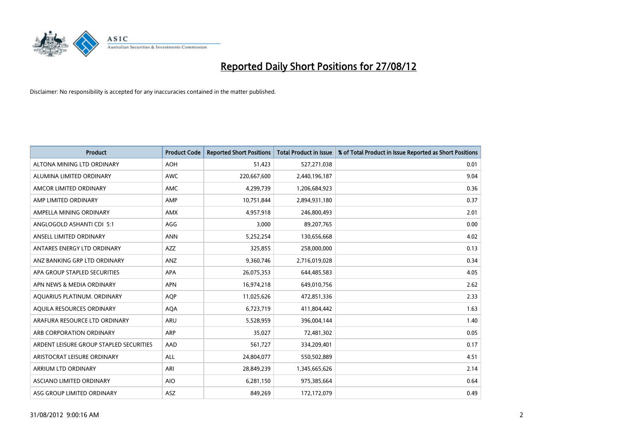

| <b>Product</b>                          | <b>Product Code</b> | <b>Reported Short Positions</b> | <b>Total Product in Issue</b> | % of Total Product in Issue Reported as Short Positions |
|-----------------------------------------|---------------------|---------------------------------|-------------------------------|---------------------------------------------------------|
| ALTONA MINING LTD ORDINARY              | <b>AOH</b>          | 51,423                          | 527,271,038                   | 0.01                                                    |
| ALUMINA LIMITED ORDINARY                | <b>AWC</b>          | 220,667,600                     | 2,440,196,187                 | 9.04                                                    |
| AMCOR LIMITED ORDINARY                  | AMC                 | 4,299,739                       | 1,206,684,923                 | 0.36                                                    |
| AMP LIMITED ORDINARY                    | AMP                 | 10,751,844                      | 2,894,931,180                 | 0.37                                                    |
| AMPELLA MINING ORDINARY                 | <b>AMX</b>          | 4,957,918                       | 246,800,493                   | 2.01                                                    |
| ANGLOGOLD ASHANTI CDI 5:1               | AGG                 | 3,000                           | 89,207,765                    | 0.00                                                    |
| ANSELL LIMITED ORDINARY                 | <b>ANN</b>          | 5,252,254                       | 130,656,668                   | 4.02                                                    |
| ANTARES ENERGY LTD ORDINARY             | <b>AZZ</b>          | 325,855                         | 258,000,000                   | 0.13                                                    |
| ANZ BANKING GRP LTD ORDINARY            | ANZ                 | 9,360,746                       | 2,716,019,028                 | 0.34                                                    |
| APA GROUP STAPLED SECURITIES            | <b>APA</b>          | 26,075,353                      | 644,485,583                   | 4.05                                                    |
| APN NEWS & MEDIA ORDINARY               | <b>APN</b>          | 16,974,218                      | 649,010,756                   | 2.62                                                    |
| AQUARIUS PLATINUM. ORDINARY             | <b>AQP</b>          | 11,025,626                      | 472,851,336                   | 2.33                                                    |
| AQUILA RESOURCES ORDINARY               | <b>AQA</b>          | 6,723,719                       | 411,804,442                   | 1.63                                                    |
| ARAFURA RESOURCE LTD ORDINARY           | ARU                 | 5,528,959                       | 396,004,144                   | 1.40                                                    |
| ARB CORPORATION ORDINARY                | ARP                 | 35,027                          | 72,481,302                    | 0.05                                                    |
| ARDENT LEISURE GROUP STAPLED SECURITIES | AAD                 | 561,727                         | 334,209,401                   | 0.17                                                    |
| ARISTOCRAT LEISURE ORDINARY             | <b>ALL</b>          | 24,804,077                      | 550,502,889                   | 4.51                                                    |
| ARRIUM LTD ORDINARY                     | ARI                 | 28,849,239                      | 1,345,665,626                 | 2.14                                                    |
| <b>ASCIANO LIMITED ORDINARY</b>         | <b>AIO</b>          | 6,281,150                       | 975,385,664                   | 0.64                                                    |
| ASG GROUP LIMITED ORDINARY              | <b>ASZ</b>          | 849.269                         | 172,172,079                   | 0.49                                                    |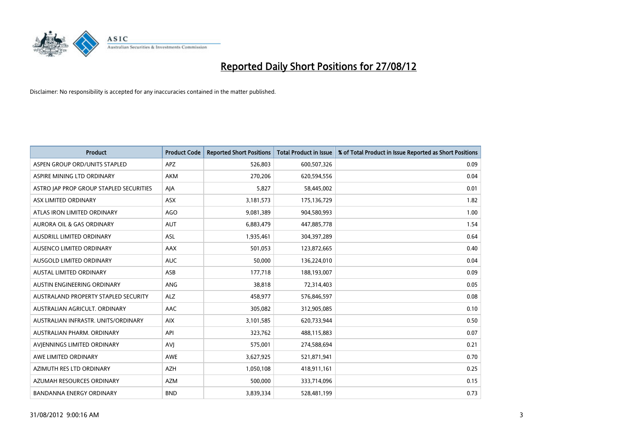

| <b>Product</b>                              | <b>Product Code</b> | <b>Reported Short Positions</b> | <b>Total Product in Issue</b> | % of Total Product in Issue Reported as Short Positions |
|---------------------------------------------|---------------------|---------------------------------|-------------------------------|---------------------------------------------------------|
| ASPEN GROUP ORD/UNITS STAPLED               | <b>APZ</b>          | 526,803                         | 600,507,326                   | 0.09                                                    |
| ASPIRE MINING LTD ORDINARY                  | <b>AKM</b>          | 270,206                         | 620,594,556                   | 0.04                                                    |
| ASTRO JAP PROP GROUP STAPLED SECURITIES     | AJA                 | 5,827                           | 58,445,002                    | 0.01                                                    |
| ASX LIMITED ORDINARY                        | ASX                 | 3,181,573                       | 175,136,729                   | 1.82                                                    |
| ATLAS IRON LIMITED ORDINARY                 | AGO                 | 9,081,389                       | 904,580,993                   | 1.00                                                    |
| <b>AURORA OIL &amp; GAS ORDINARY</b>        | <b>AUT</b>          | 6,883,479                       | 447,885,778                   | 1.54                                                    |
| AUSDRILL LIMITED ORDINARY                   | <b>ASL</b>          | 1,935,461                       | 304,397,289                   | 0.64                                                    |
| AUSENCO LIMITED ORDINARY                    | AAX                 | 501,053                         | 123,872,665                   | 0.40                                                    |
| AUSGOLD LIMITED ORDINARY                    | <b>AUC</b>          | 50,000                          | 136,224,010                   | 0.04                                                    |
| <b>AUSTAL LIMITED ORDINARY</b>              | ASB                 | 177,718                         | 188,193,007                   | 0.09                                                    |
| AUSTIN ENGINEERING ORDINARY                 | ANG                 | 38,818                          | 72,314,403                    | 0.05                                                    |
| <b>AUSTRALAND PROPERTY STAPLED SECURITY</b> | <b>ALZ</b>          | 458,977                         | 576,846,597                   | 0.08                                                    |
| AUSTRALIAN AGRICULT. ORDINARY               | AAC                 | 305,082                         | 312,905,085                   | 0.10                                                    |
| AUSTRALIAN INFRASTR. UNITS/ORDINARY         | <b>AIX</b>          | 3,101,585                       | 620,733,944                   | 0.50                                                    |
| AUSTRALIAN PHARM, ORDINARY                  | API                 | 323,762                         | 488,115,883                   | 0.07                                                    |
| AVIENNINGS LIMITED ORDINARY                 | AVI                 | 575,001                         | 274,588,694                   | 0.21                                                    |
| AWE LIMITED ORDINARY                        | AWE                 | 3,627,925                       | 521,871,941                   | 0.70                                                    |
| AZIMUTH RES LTD ORDINARY                    | <b>AZH</b>          | 1,050,108                       | 418,911,161                   | 0.25                                                    |
| AZUMAH RESOURCES ORDINARY                   | <b>AZM</b>          | 500,000                         | 333,714,096                   | 0.15                                                    |
| <b>BANDANNA ENERGY ORDINARY</b>             | <b>BND</b>          | 3,839,334                       | 528,481,199                   | 0.73                                                    |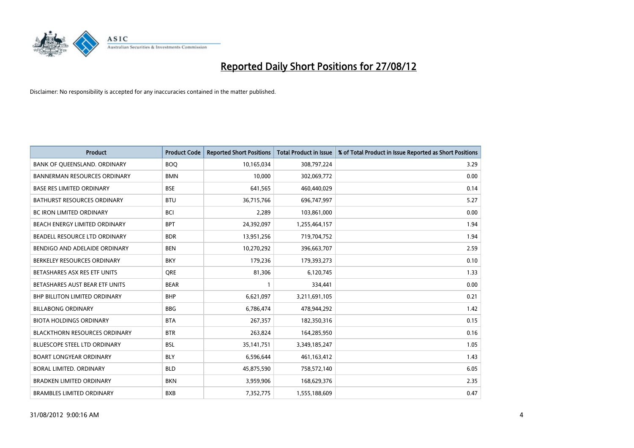

| <b>Product</b>                       | <b>Product Code</b> | <b>Reported Short Positions</b> | <b>Total Product in Issue</b> | % of Total Product in Issue Reported as Short Positions |
|--------------------------------------|---------------------|---------------------------------|-------------------------------|---------------------------------------------------------|
| BANK OF QUEENSLAND. ORDINARY         | <b>BOQ</b>          | 10,165,034                      | 308,797,224                   | 3.29                                                    |
| <b>BANNERMAN RESOURCES ORDINARY</b>  | <b>BMN</b>          | 10,000                          | 302,069,772                   | 0.00                                                    |
| <b>BASE RES LIMITED ORDINARY</b>     | <b>BSE</b>          | 641,565                         | 460,440,029                   | 0.14                                                    |
| BATHURST RESOURCES ORDINARY          | <b>BTU</b>          | 36,715,766                      | 696,747,997                   | 5.27                                                    |
| BC IRON LIMITED ORDINARY             | <b>BCI</b>          | 2,289                           | 103,861,000                   | 0.00                                                    |
| BEACH ENERGY LIMITED ORDINARY        | <b>BPT</b>          | 24,392,097                      | 1,255,464,157                 | 1.94                                                    |
| BEADELL RESOURCE LTD ORDINARY        | <b>BDR</b>          | 13,951,256                      | 719,704,752                   | 1.94                                                    |
| BENDIGO AND ADELAIDE ORDINARY        | <b>BEN</b>          | 10,270,292                      | 396,663,707                   | 2.59                                                    |
| BERKELEY RESOURCES ORDINARY          | <b>BKY</b>          | 179,236                         | 179,393,273                   | 0.10                                                    |
| BETASHARES ASX RES ETF UNITS         | <b>ORE</b>          | 81,306                          | 6,120,745                     | 1.33                                                    |
| BETASHARES AUST BEAR ETF UNITS       | <b>BEAR</b>         |                                 | 334,441                       | 0.00                                                    |
| <b>BHP BILLITON LIMITED ORDINARY</b> | <b>BHP</b>          | 6,621,097                       | 3,211,691,105                 | 0.21                                                    |
| <b>BILLABONG ORDINARY</b>            | <b>BBG</b>          | 6,786,474                       | 478,944,292                   | 1.42                                                    |
| <b>BIOTA HOLDINGS ORDINARY</b>       | <b>BTA</b>          | 267,357                         | 182,350,316                   | 0.15                                                    |
| <b>BLACKTHORN RESOURCES ORDINARY</b> | <b>BTR</b>          | 263,824                         | 164,285,950                   | 0.16                                                    |
| BLUESCOPE STEEL LTD ORDINARY         | <b>BSL</b>          | 35, 141, 751                    | 3,349,185,247                 | 1.05                                                    |
| <b>BOART LONGYEAR ORDINARY</b>       | <b>BLY</b>          | 6,596,644                       | 461,163,412                   | 1.43                                                    |
| BORAL LIMITED. ORDINARY              | <b>BLD</b>          | 45,875,590                      | 758,572,140                   | 6.05                                                    |
| <b>BRADKEN LIMITED ORDINARY</b>      | <b>BKN</b>          | 3,959,906                       | 168,629,376                   | 2.35                                                    |
| <b>BRAMBLES LIMITED ORDINARY</b>     | <b>BXB</b>          | 7,352,775                       | 1,555,188,609                 | 0.47                                                    |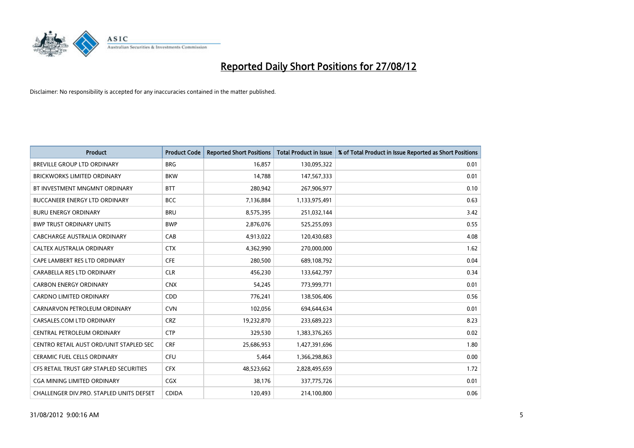

| <b>Product</b>                           | <b>Product Code</b> | <b>Reported Short Positions</b> | <b>Total Product in Issue</b> | % of Total Product in Issue Reported as Short Positions |
|------------------------------------------|---------------------|---------------------------------|-------------------------------|---------------------------------------------------------|
| <b>BREVILLE GROUP LTD ORDINARY</b>       | <b>BRG</b>          | 16.857                          | 130,095,322                   | 0.01                                                    |
| <b>BRICKWORKS LIMITED ORDINARY</b>       | <b>BKW</b>          | 14,788                          | 147,567,333                   | 0.01                                                    |
| BT INVESTMENT MNGMNT ORDINARY            | <b>BTT</b>          | 280,942                         | 267,906,977                   | 0.10                                                    |
| <b>BUCCANEER ENERGY LTD ORDINARY</b>     | <b>BCC</b>          | 7,136,884                       | 1,133,975,491                 | 0.63                                                    |
| <b>BURU ENERGY ORDINARY</b>              | <b>BRU</b>          | 8,575,395                       | 251,032,144                   | 3.42                                                    |
| <b>BWP TRUST ORDINARY UNITS</b>          | <b>BWP</b>          | 2,876,076                       | 525,255,093                   | 0.55                                                    |
| CABCHARGE AUSTRALIA ORDINARY             | CAB                 | 4,913,022                       | 120,430,683                   | 4.08                                                    |
| CALTEX AUSTRALIA ORDINARY                | <b>CTX</b>          | 4,362,990                       | 270,000,000                   | 1.62                                                    |
| CAPE LAMBERT RES LTD ORDINARY            | <b>CFE</b>          | 280,500                         | 689,108,792                   | 0.04                                                    |
| CARABELLA RES LTD ORDINARY               | <b>CLR</b>          | 456,230                         | 133,642,797                   | 0.34                                                    |
| <b>CARBON ENERGY ORDINARY</b>            | <b>CNX</b>          | 54,245                          | 773,999,771                   | 0.01                                                    |
| <b>CARDNO LIMITED ORDINARY</b>           | CDD                 | 776,241                         | 138,506,406                   | 0.56                                                    |
| CARNARVON PETROLEUM ORDINARY             | <b>CVN</b>          | 102,056                         | 694,644,634                   | 0.01                                                    |
| CARSALES.COM LTD ORDINARY                | <b>CRZ</b>          | 19,232,870                      | 233,689,223                   | 8.23                                                    |
| CENTRAL PETROLEUM ORDINARY               | <b>CTP</b>          | 329,530                         | 1,383,376,265                 | 0.02                                                    |
| CENTRO RETAIL AUST ORD/UNIT STAPLED SEC  | <b>CRF</b>          | 25,686,953                      | 1,427,391,696                 | 1.80                                                    |
| <b>CERAMIC FUEL CELLS ORDINARY</b>       | <b>CFU</b>          | 5,464                           | 1,366,298,863                 | 0.00                                                    |
| CFS RETAIL TRUST GRP STAPLED SECURITIES  | <b>CFX</b>          | 48,523,662                      | 2,828,495,659                 | 1.72                                                    |
| <b>CGA MINING LIMITED ORDINARY</b>       | <b>CGX</b>          | 38,176                          | 337,775,726                   | 0.01                                                    |
| CHALLENGER DIV.PRO. STAPLED UNITS DEFSET | <b>CDIDA</b>        | 120,493                         | 214,100,800                   | 0.06                                                    |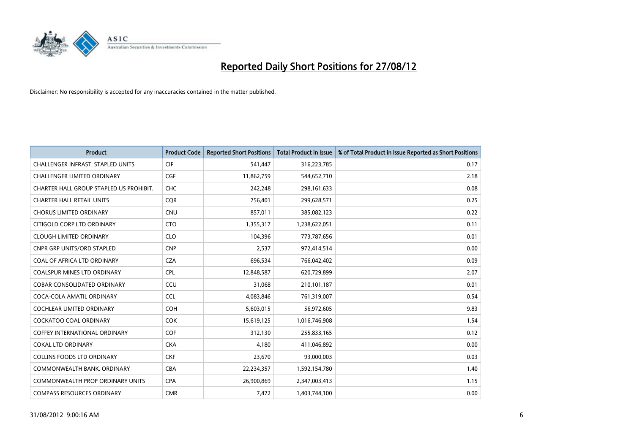

| <b>Product</b>                           | <b>Product Code</b> | <b>Reported Short Positions</b> | <b>Total Product in Issue</b> | % of Total Product in Issue Reported as Short Positions |
|------------------------------------------|---------------------|---------------------------------|-------------------------------|---------------------------------------------------------|
| <b>CHALLENGER INFRAST, STAPLED UNITS</b> | <b>CIF</b>          | 541,447                         | 316,223,785                   | 0.17                                                    |
| <b>CHALLENGER LIMITED ORDINARY</b>       | <b>CGF</b>          | 11,862,759                      | 544,652,710                   | 2.18                                                    |
| CHARTER HALL GROUP STAPLED US PROHIBIT.  | <b>CHC</b>          | 242,248                         | 298,161,633                   | 0.08                                                    |
| <b>CHARTER HALL RETAIL UNITS</b>         | <b>COR</b>          | 756,401                         | 299,628,571                   | 0.25                                                    |
| <b>CHORUS LIMITED ORDINARY</b>           | <b>CNU</b>          | 857,011                         | 385,082,123                   | 0.22                                                    |
| CITIGOLD CORP LTD ORDINARY               | <b>CTO</b>          | 1,355,317                       | 1,238,622,051                 | 0.11                                                    |
| <b>CLOUGH LIMITED ORDINARY</b>           | <b>CLO</b>          | 104.396                         | 773,787,656                   | 0.01                                                    |
| <b>CNPR GRP UNITS/ORD STAPLED</b>        | <b>CNP</b>          | 2,537                           | 972,414,514                   | 0.00                                                    |
| COAL OF AFRICA LTD ORDINARY              | <b>CZA</b>          | 696,534                         | 766,042,402                   | 0.09                                                    |
| <b>COALSPUR MINES LTD ORDINARY</b>       | <b>CPL</b>          | 12,848,587                      | 620,729,899                   | 2.07                                                    |
| <b>COBAR CONSOLIDATED ORDINARY</b>       | CCU                 | 31,068                          | 210,101,187                   | 0.01                                                    |
| COCA-COLA AMATIL ORDINARY                | <b>CCL</b>          | 4,083,846                       | 761,319,007                   | 0.54                                                    |
| <b>COCHLEAR LIMITED ORDINARY</b>         | <b>COH</b>          | 5,603,015                       | 56,972,605                    | 9.83                                                    |
| <b>COCKATOO COAL ORDINARY</b>            | <b>COK</b>          | 15,619,125                      | 1,016,746,908                 | 1.54                                                    |
| <b>COFFEY INTERNATIONAL ORDINARY</b>     | <b>COF</b>          | 312,130                         | 255,833,165                   | 0.12                                                    |
| <b>COKAL LTD ORDINARY</b>                | <b>CKA</b>          | 4,180                           | 411,046,892                   | 0.00                                                    |
| <b>COLLINS FOODS LTD ORDINARY</b>        | <b>CKF</b>          | 23,670                          | 93,000,003                    | 0.03                                                    |
| COMMONWEALTH BANK, ORDINARY              | <b>CBA</b>          | 22,234,357                      | 1,592,154,780                 | 1.40                                                    |
| <b>COMMONWEALTH PROP ORDINARY UNITS</b>  | <b>CPA</b>          | 26,900,869                      | 2,347,003,413                 | 1.15                                                    |
| <b>COMPASS RESOURCES ORDINARY</b>        | <b>CMR</b>          | 7,472                           | 1,403,744,100                 | 0.00                                                    |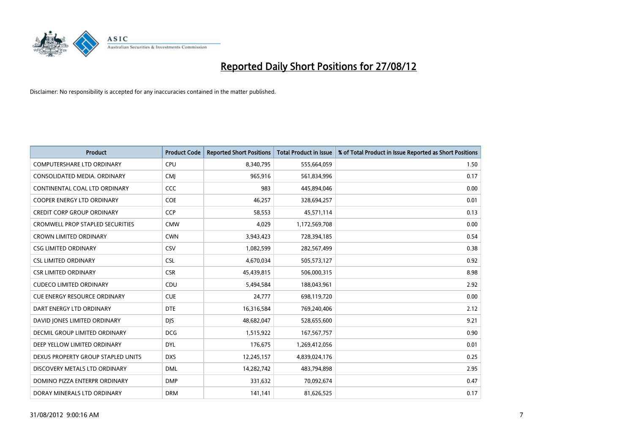

| <b>Product</b>                          | <b>Product Code</b> | <b>Reported Short Positions</b> | <b>Total Product in Issue</b> | % of Total Product in Issue Reported as Short Positions |
|-----------------------------------------|---------------------|---------------------------------|-------------------------------|---------------------------------------------------------|
| <b>COMPUTERSHARE LTD ORDINARY</b>       | CPU                 | 8,340,795                       | 555,664,059                   | 1.50                                                    |
| CONSOLIDATED MEDIA. ORDINARY            | <b>CMI</b>          | 965,916                         | 561,834,996                   | 0.17                                                    |
| CONTINENTAL COAL LTD ORDINARY           | CCC                 | 983                             | 445,894,046                   | 0.00                                                    |
| COOPER ENERGY LTD ORDINARY              | <b>COE</b>          | 46,257                          | 328,694,257                   | 0.01                                                    |
| <b>CREDIT CORP GROUP ORDINARY</b>       | <b>CCP</b>          | 58,553                          | 45,571,114                    | 0.13                                                    |
| <b>CROMWELL PROP STAPLED SECURITIES</b> | <b>CMW</b>          | 4,029                           | 1,172,569,708                 | 0.00                                                    |
| <b>CROWN LIMITED ORDINARY</b>           | <b>CWN</b>          | 3,943,423                       | 728,394,185                   | 0.54                                                    |
| <b>CSG LIMITED ORDINARY</b>             | CSV                 | 1,082,599                       | 282,567,499                   | 0.38                                                    |
| <b>CSL LIMITED ORDINARY</b>             | <b>CSL</b>          | 4,670,034                       | 505,573,127                   | 0.92                                                    |
| <b>CSR LIMITED ORDINARY</b>             | <b>CSR</b>          | 45,439,815                      | 506,000,315                   | 8.98                                                    |
| <b>CUDECO LIMITED ORDINARY</b>          | CDU                 | 5,494,584                       | 188,043,961                   | 2.92                                                    |
| <b>CUE ENERGY RESOURCE ORDINARY</b>     | <b>CUE</b>          | 24,777                          | 698,119,720                   | 0.00                                                    |
| DART ENERGY LTD ORDINARY                | <b>DTE</b>          | 16,316,584                      | 769,240,406                   | 2.12                                                    |
| DAVID JONES LIMITED ORDINARY            | <b>DIS</b>          | 48,682,047                      | 528,655,600                   | 9.21                                                    |
| DECMIL GROUP LIMITED ORDINARY           | <b>DCG</b>          | 1,515,922                       | 167,567,757                   | 0.90                                                    |
| DEEP YELLOW LIMITED ORDINARY            | <b>DYL</b>          | 176,675                         | 1,269,412,056                 | 0.01                                                    |
| DEXUS PROPERTY GROUP STAPLED UNITS      | <b>DXS</b>          | 12,245,157                      | 4,839,024,176                 | 0.25                                                    |
| DISCOVERY METALS LTD ORDINARY           | <b>DML</b>          | 14,282,742                      | 483,794,898                   | 2.95                                                    |
| DOMINO PIZZA ENTERPR ORDINARY           | <b>DMP</b>          | 331,632                         | 70,092,674                    | 0.47                                                    |
| DORAY MINERALS LTD ORDINARY             | <b>DRM</b>          | 141,141                         | 81,626,525                    | 0.17                                                    |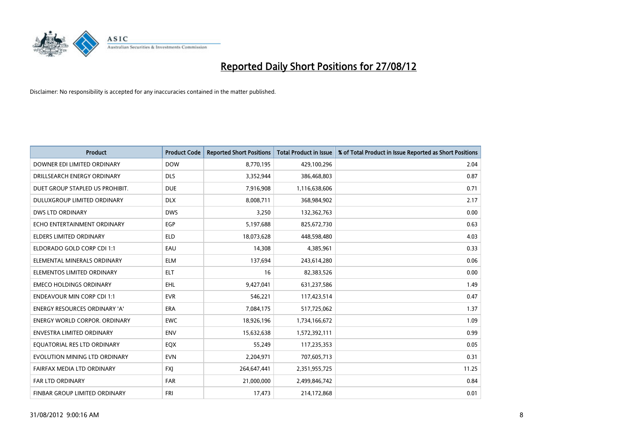

| <b>Product</b>                       | <b>Product Code</b> | <b>Reported Short Positions</b> | <b>Total Product in Issue</b> | % of Total Product in Issue Reported as Short Positions |
|--------------------------------------|---------------------|---------------------------------|-------------------------------|---------------------------------------------------------|
| DOWNER EDI LIMITED ORDINARY          | <b>DOW</b>          | 8,770,195                       | 429,100,296                   | 2.04                                                    |
| DRILLSEARCH ENERGY ORDINARY          | <b>DLS</b>          | 3,352,944                       | 386,468,803                   | 0.87                                                    |
| DUET GROUP STAPLED US PROHIBIT.      | <b>DUE</b>          | 7,916,908                       | 1,116,638,606                 | 0.71                                                    |
| DULUXGROUP LIMITED ORDINARY          | <b>DLX</b>          | 8,008,711                       | 368,984,902                   | 2.17                                                    |
| <b>DWS LTD ORDINARY</b>              | <b>DWS</b>          | 3,250                           | 132,362,763                   | 0.00                                                    |
| ECHO ENTERTAINMENT ORDINARY          | EGP                 | 5,197,688                       | 825,672,730                   | 0.63                                                    |
| <b>ELDERS LIMITED ORDINARY</b>       | <b>ELD</b>          | 18,073,628                      | 448,598,480                   | 4.03                                                    |
| ELDORADO GOLD CORP CDI 1:1           | EAU                 | 14,308                          | 4,385,961                     | 0.33                                                    |
| ELEMENTAL MINERALS ORDINARY          | <b>ELM</b>          | 137,694                         | 243,614,280                   | 0.06                                                    |
| ELEMENTOS LIMITED ORDINARY           | <b>ELT</b>          | 16                              | 82,383,526                    | 0.00                                                    |
| <b>EMECO HOLDINGS ORDINARY</b>       | <b>EHL</b>          | 9,427,041                       | 631,237,586                   | 1.49                                                    |
| <b>ENDEAVOUR MIN CORP CDI 1:1</b>    | <b>EVR</b>          | 546,221                         | 117,423,514                   | 0.47                                                    |
| ENERGY RESOURCES ORDINARY 'A'        | <b>ERA</b>          | 7,084,175                       | 517,725,062                   | 1.37                                                    |
| <b>ENERGY WORLD CORPOR, ORDINARY</b> | <b>EWC</b>          | 18,926,196                      | 1,734,166,672                 | 1.09                                                    |
| <b>ENVESTRA LIMITED ORDINARY</b>     | <b>ENV</b>          | 15,632,638                      | 1,572,392,111                 | 0.99                                                    |
| EQUATORIAL RES LTD ORDINARY          | EQX                 | 55,249                          | 117,235,353                   | 0.05                                                    |
| EVOLUTION MINING LTD ORDINARY        | <b>EVN</b>          | 2,204,971                       | 707,605,713                   | 0.31                                                    |
| FAIRFAX MEDIA LTD ORDINARY           | <b>FXJ</b>          | 264,647,441                     | 2,351,955,725                 | 11.25                                                   |
| <b>FAR LTD ORDINARY</b>              | <b>FAR</b>          | 21,000,000                      | 2,499,846,742                 | 0.84                                                    |
| FINBAR GROUP LIMITED ORDINARY        | <b>FRI</b>          | 17,473                          | 214,172,868                   | 0.01                                                    |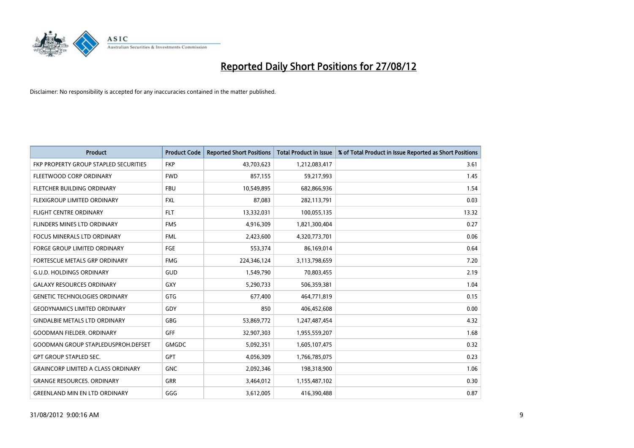

| <b>Product</b>                            | <b>Product Code</b> | <b>Reported Short Positions</b> | <b>Total Product in Issue</b> | % of Total Product in Issue Reported as Short Positions |
|-------------------------------------------|---------------------|---------------------------------|-------------------------------|---------------------------------------------------------|
| FKP PROPERTY GROUP STAPLED SECURITIES     | <b>FKP</b>          | 43,703,623                      | 1,212,083,417                 | 3.61                                                    |
| FLEETWOOD CORP ORDINARY                   | <b>FWD</b>          | 857,155                         | 59,217,993                    | 1.45                                                    |
| FLETCHER BUILDING ORDINARY                | <b>FBU</b>          | 10,549,895                      | 682,866,936                   | 1.54                                                    |
| FLEXIGROUP LIMITED ORDINARY               | <b>FXL</b>          | 87,083                          | 282,113,791                   | 0.03                                                    |
| <b>FLIGHT CENTRE ORDINARY</b>             | <b>FLT</b>          | 13,332,031                      | 100,055,135                   | 13.32                                                   |
| FLINDERS MINES LTD ORDINARY               | <b>FMS</b>          | 4,916,309                       | 1,821,300,404                 | 0.27                                                    |
| <b>FOCUS MINERALS LTD ORDINARY</b>        | <b>FML</b>          | 2,423,600                       | 4,320,773,701                 | 0.06                                                    |
| FORGE GROUP LIMITED ORDINARY              | FGE                 | 553,374                         | 86,169,014                    | 0.64                                                    |
| FORTESCUE METALS GRP ORDINARY             | <b>FMG</b>          | 224,346,124                     | 3,113,798,659                 | 7.20                                                    |
| <b>G.U.D. HOLDINGS ORDINARY</b>           | GUD                 | 1,549,790                       | 70,803,455                    | 2.19                                                    |
| <b>GALAXY RESOURCES ORDINARY</b>          | <b>GXY</b>          | 5,290,733                       | 506,359,381                   | 1.04                                                    |
| <b>GENETIC TECHNOLOGIES ORDINARY</b>      | <b>GTG</b>          | 677,400                         | 464,771,819                   | 0.15                                                    |
| <b>GEODYNAMICS LIMITED ORDINARY</b>       | GDY                 | 850                             | 406,452,608                   | 0.00                                                    |
| <b>GINDALBIE METALS LTD ORDINARY</b>      | <b>GBG</b>          | 53,869,772                      | 1,247,487,454                 | 4.32                                                    |
| <b>GOODMAN FIELDER, ORDINARY</b>          | GFF                 | 32,907,303                      | 1,955,559,207                 | 1.68                                                    |
| GOODMAN GROUP STAPLEDUSPROH.DEFSET        | <b>GMGDC</b>        | 5,092,351                       | 1,605,107,475                 | 0.32                                                    |
| <b>GPT GROUP STAPLED SEC.</b>             | <b>GPT</b>          | 4,056,309                       | 1,766,785,075                 | 0.23                                                    |
| <b>GRAINCORP LIMITED A CLASS ORDINARY</b> | <b>GNC</b>          | 2,092,346                       | 198,318,900                   | 1.06                                                    |
| <b>GRANGE RESOURCES. ORDINARY</b>         | <b>GRR</b>          | 3,464,012                       | 1,155,487,102                 | 0.30                                                    |
| <b>GREENLAND MIN EN LTD ORDINARY</b>      | GGG                 | 3,612,005                       | 416,390,488                   | 0.87                                                    |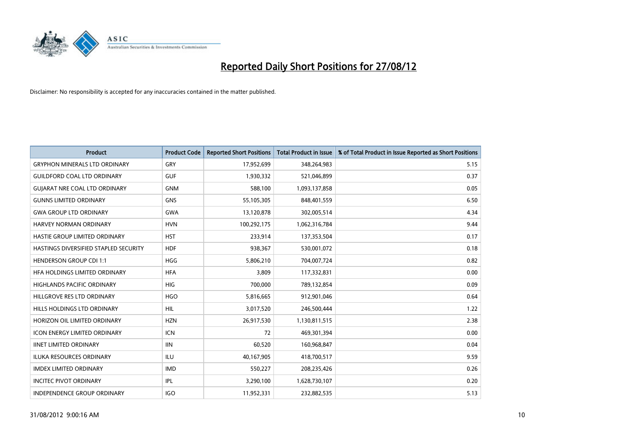

| <b>Product</b>                        | <b>Product Code</b> | <b>Reported Short Positions</b> | <b>Total Product in Issue</b> | % of Total Product in Issue Reported as Short Positions |
|---------------------------------------|---------------------|---------------------------------|-------------------------------|---------------------------------------------------------|
| <b>GRYPHON MINERALS LTD ORDINARY</b>  | GRY                 | 17,952,699                      | 348,264,983                   | 5.15                                                    |
| <b>GUILDFORD COAL LTD ORDINARY</b>    | <b>GUF</b>          | 1,930,332                       | 521,046,899                   | 0.37                                                    |
| <b>GUIARAT NRE COAL LTD ORDINARY</b>  | <b>GNM</b>          | 588,100                         | 1,093,137,858                 | 0.05                                                    |
| <b>GUNNS LIMITED ORDINARY</b>         | <b>GNS</b>          | 55,105,305                      | 848,401,559                   | 6.50                                                    |
| <b>GWA GROUP LTD ORDINARY</b>         | <b>GWA</b>          | 13,120,878                      | 302,005,514                   | 4.34                                                    |
| <b>HARVEY NORMAN ORDINARY</b>         | <b>HVN</b>          | 100,292,175                     | 1,062,316,784                 | 9.44                                                    |
| HASTIE GROUP LIMITED ORDINARY         | <b>HST</b>          | 233,914                         | 137,353,504                   | 0.17                                                    |
| HASTINGS DIVERSIFIED STAPLED SECURITY | <b>HDF</b>          | 938,367                         | 530,001,072                   | 0.18                                                    |
| <b>HENDERSON GROUP CDI 1:1</b>        | <b>HGG</b>          | 5,806,210                       | 704,007,724                   | 0.82                                                    |
| HFA HOLDINGS LIMITED ORDINARY         | <b>HFA</b>          | 3,809                           | 117,332,831                   | 0.00                                                    |
| HIGHLANDS PACIFIC ORDINARY            | <b>HIG</b>          | 700,000                         | 789,132,854                   | 0.09                                                    |
| HILLGROVE RES LTD ORDINARY            | <b>HGO</b>          | 5,816,665                       | 912,901,046                   | 0.64                                                    |
| HILLS HOLDINGS LTD ORDINARY           | <b>HIL</b>          | 3,017,520                       | 246,500,444                   | 1.22                                                    |
| HORIZON OIL LIMITED ORDINARY          | <b>HZN</b>          | 26,917,530                      | 1,130,811,515                 | 2.38                                                    |
| <b>ICON ENERGY LIMITED ORDINARY</b>   | <b>ICN</b>          | 72                              | 469,301,394                   | 0.00                                                    |
| <b>IINET LIMITED ORDINARY</b>         | <b>IIN</b>          | 60,520                          | 160,968,847                   | 0.04                                                    |
| ILUKA RESOURCES ORDINARY              | ILU                 | 40,167,905                      | 418,700,517                   | 9.59                                                    |
| <b>IMDEX LIMITED ORDINARY</b>         | <b>IMD</b>          | 550,227                         | 208,235,426                   | 0.26                                                    |
| <b>INCITEC PIVOT ORDINARY</b>         | IPL                 | 3,290,100                       | 1,628,730,107                 | 0.20                                                    |
| <b>INDEPENDENCE GROUP ORDINARY</b>    | <b>IGO</b>          | 11,952,331                      | 232,882,535                   | 5.13                                                    |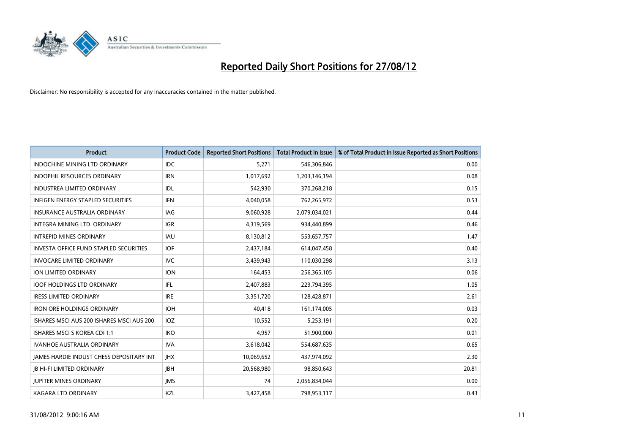

| <b>Product</b>                                | <b>Product Code</b> | <b>Reported Short Positions</b> | <b>Total Product in Issue</b> | % of Total Product in Issue Reported as Short Positions |
|-----------------------------------------------|---------------------|---------------------------------|-------------------------------|---------------------------------------------------------|
| INDOCHINE MINING LTD ORDINARY                 | <b>IDC</b>          | 5,271                           | 546,306,846                   | 0.00                                                    |
| INDOPHIL RESOURCES ORDINARY                   | <b>IRN</b>          | 1,017,692                       | 1,203,146,194                 | 0.08                                                    |
| <b>INDUSTREA LIMITED ORDINARY</b>             | <b>IDL</b>          | 542,930                         | 370,268,218                   | 0.15                                                    |
| INFIGEN ENERGY STAPLED SECURITIES             | <b>IFN</b>          | 4,040,058                       | 762,265,972                   | 0.53                                                    |
| <b>INSURANCE AUSTRALIA ORDINARY</b>           | IAG                 | 9,060,928                       | 2,079,034,021                 | 0.44                                                    |
| INTEGRA MINING LTD. ORDINARY                  | <b>IGR</b>          | 4,319,569                       | 934,440,899                   | 0.46                                                    |
| <b>INTREPID MINES ORDINARY</b>                | <b>IAU</b>          | 8,130,812                       | 553,657,757                   | 1.47                                                    |
| <b>INVESTA OFFICE FUND STAPLED SECURITIES</b> | IOF                 | 2,437,184                       | 614,047,458                   | 0.40                                                    |
| <b>INVOCARE LIMITED ORDINARY</b>              | <b>IVC</b>          | 3,439,943                       | 110,030,298                   | 3.13                                                    |
| <b>ION LIMITED ORDINARY</b>                   | <b>ION</b>          | 164,453                         | 256,365,105                   | 0.06                                                    |
| <b>IOOF HOLDINGS LTD ORDINARY</b>             | IFL                 | 2,407,883                       | 229,794,395                   | 1.05                                                    |
| <b>IRESS LIMITED ORDINARY</b>                 | <b>IRE</b>          | 3,351,720                       | 128,428,871                   | 2.61                                                    |
| <b>IRON ORE HOLDINGS ORDINARY</b>             | <b>IOH</b>          | 40,418                          | 161,174,005                   | 0.03                                                    |
| ISHARES MSCI AUS 200 ISHARES MSCI AUS 200     | IOZ                 | 10,552                          | 5,253,191                     | 0.20                                                    |
| <b>ISHARES MSCI S KOREA CDI 1:1</b>           | <b>IKO</b>          | 4,957                           | 51,900,000                    | 0.01                                                    |
| IVANHOE AUSTRALIA ORDINARY                    | <b>IVA</b>          | 3,618,042                       | 554,687,635                   | 0.65                                                    |
| JAMES HARDIE INDUST CHESS DEPOSITARY INT      | <b>IHX</b>          | 10,069,652                      | 437,974,092                   | 2.30                                                    |
| <b>JB HI-FI LIMITED ORDINARY</b>              | <b>IBH</b>          | 20,568,980                      | 98,850,643                    | 20.81                                                   |
| <b>IUPITER MINES ORDINARY</b>                 | <b>IMS</b>          | 74                              | 2,056,834,044                 | 0.00                                                    |
| <b>KAGARA LTD ORDINARY</b>                    | KZL                 | 3,427,458                       | 798,953,117                   | 0.43                                                    |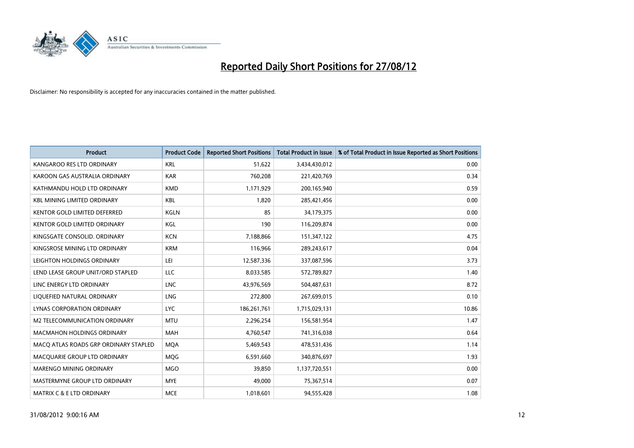

| <b>Product</b>                        | <b>Product Code</b> | <b>Reported Short Positions</b> | <b>Total Product in Issue</b> | % of Total Product in Issue Reported as Short Positions |
|---------------------------------------|---------------------|---------------------------------|-------------------------------|---------------------------------------------------------|
| KANGAROO RES LTD ORDINARY             | <b>KRL</b>          | 51,622                          | 3,434,430,012                 | 0.00                                                    |
| KAROON GAS AUSTRALIA ORDINARY         | <b>KAR</b>          | 760,208                         | 221,420,769                   | 0.34                                                    |
| KATHMANDU HOLD LTD ORDINARY           | <b>KMD</b>          | 1,171,929                       | 200,165,940                   | 0.59                                                    |
| <b>KBL MINING LIMITED ORDINARY</b>    | <b>KBL</b>          | 1,820                           | 285,421,456                   | 0.00                                                    |
| <b>KENTOR GOLD LIMITED DEFERRED</b>   | <b>KGLN</b>         | 85                              | 34,179,375                    | 0.00                                                    |
| <b>KENTOR GOLD LIMITED ORDINARY</b>   | KGL                 | 190                             | 116,209,874                   | 0.00                                                    |
| KINGSGATE CONSOLID. ORDINARY          | <b>KCN</b>          | 7,188,866                       | 151,347,122                   | 4.75                                                    |
| KINGSROSE MINING LTD ORDINARY         | <b>KRM</b>          | 116,966                         | 289,243,617                   | 0.04                                                    |
| LEIGHTON HOLDINGS ORDINARY            | LEI                 | 12,587,336                      | 337,087,596                   | 3.73                                                    |
| LEND LEASE GROUP UNIT/ORD STAPLED     | <b>LLC</b>          | 8,033,585                       | 572,789,827                   | 1.40                                                    |
| LINC ENERGY LTD ORDINARY              | <b>LNC</b>          | 43,976,569                      | 504,487,631                   | 8.72                                                    |
| LIQUEFIED NATURAL ORDINARY            | <b>LNG</b>          | 272,800                         | 267,699,015                   | 0.10                                                    |
| <b>LYNAS CORPORATION ORDINARY</b>     | <b>LYC</b>          | 186,261,761                     | 1,715,029,131                 | 10.86                                                   |
| M2 TELECOMMUNICATION ORDINARY         | <b>MTU</b>          | 2,296,254                       | 156,581,954                   | 1.47                                                    |
| <b>MACMAHON HOLDINGS ORDINARY</b>     | <b>MAH</b>          | 4,760,547                       | 741,316,038                   | 0.64                                                    |
| MACQ ATLAS ROADS GRP ORDINARY STAPLED | <b>MQA</b>          | 5,469,543                       | 478,531,436                   | 1.14                                                    |
| MACQUARIE GROUP LTD ORDINARY          | <b>MOG</b>          | 6,591,660                       | 340,876,697                   | 1.93                                                    |
| MARENGO MINING ORDINARY               | <b>MGO</b>          | 39,850                          | 1,137,720,551                 | 0.00                                                    |
| MASTERMYNE GROUP LTD ORDINARY         | <b>MYE</b>          | 49,000                          | 75,367,514                    | 0.07                                                    |
| MATRIX C & E LTD ORDINARY             | <b>MCE</b>          | 1,018,601                       | 94,555,428                    | 1.08                                                    |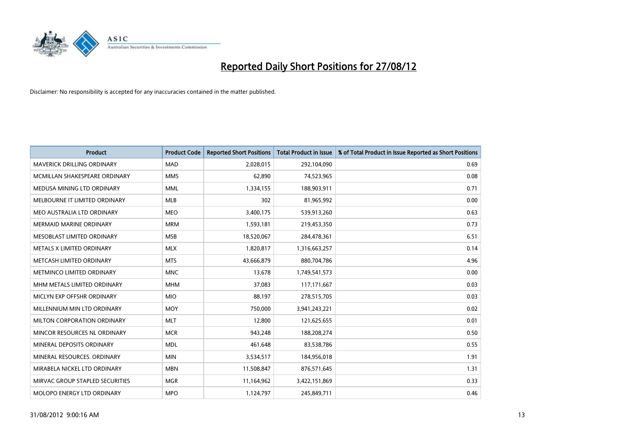

| <b>Product</b>                  | <b>Product Code</b> | <b>Reported Short Positions</b> | <b>Total Product in Issue</b> | % of Total Product in Issue Reported as Short Positions |
|---------------------------------|---------------------|---------------------------------|-------------------------------|---------------------------------------------------------|
| MAVERICK DRILLING ORDINARY      | <b>MAD</b>          | 2,028,015                       | 292,104,090                   | 0.69                                                    |
| MCMILLAN SHAKESPEARE ORDINARY   | <b>MMS</b>          | 62,890                          | 74,523,965                    | 0.08                                                    |
| MEDUSA MINING LTD ORDINARY      | <b>MML</b>          | 1,334,155                       | 188,903,911                   | 0.71                                                    |
| MELBOURNE IT LIMITED ORDINARY   | <b>MLB</b>          | 302                             | 81,965,992                    | 0.00                                                    |
| MEO AUSTRALIA LTD ORDINARY      | <b>MEO</b>          | 3,400,175                       | 539,913,260                   | 0.63                                                    |
| <b>MERMAID MARINE ORDINARY</b>  | <b>MRM</b>          | 1,593,181                       | 219,453,350                   | 0.73                                                    |
| MESOBLAST LIMITED ORDINARY      | <b>MSB</b>          | 18,520,067                      | 284,478,361                   | 6.51                                                    |
| METALS X LIMITED ORDINARY       | <b>MLX</b>          | 1,820,817                       | 1,316,663,257                 | 0.14                                                    |
| METCASH LIMITED ORDINARY        | <b>MTS</b>          | 43,666,879                      | 880,704,786                   | 4.96                                                    |
| METMINCO LIMITED ORDINARY       | <b>MNC</b>          | 13,678                          | 1,749,541,573                 | 0.00                                                    |
| MHM METALS LIMITED ORDINARY     | <b>MHM</b>          | 37,083                          | 117, 171, 667                 | 0.03                                                    |
| MICLYN EXP OFFSHR ORDINARY      | <b>MIO</b>          | 88,197                          | 278,515,705                   | 0.03                                                    |
| MILLENNIUM MIN LTD ORDINARY     | <b>MOY</b>          | 750,000                         | 3,941,243,221                 | 0.02                                                    |
| MILTON CORPORATION ORDINARY     | <b>MLT</b>          | 12,800                          | 121,625,655                   | 0.01                                                    |
| MINCOR RESOURCES NL ORDINARY    | <b>MCR</b>          | 943,248                         | 188,208,274                   | 0.50                                                    |
| MINERAL DEPOSITS ORDINARY       | <b>MDL</b>          | 461,648                         | 83,538,786                    | 0.55                                                    |
| MINERAL RESOURCES. ORDINARY     | <b>MIN</b>          | 3,534,517                       | 184,956,018                   | 1.91                                                    |
| MIRABELA NICKEL LTD ORDINARY    | <b>MBN</b>          | 11,508,847                      | 876,571,645                   | 1.31                                                    |
| MIRVAC GROUP STAPLED SECURITIES | <b>MGR</b>          | 11,164,962                      | 3,422,151,869                 | 0.33                                                    |
| MOLOPO ENERGY LTD ORDINARY      | <b>MPO</b>          | 1,124,797                       | 245,849,711                   | 0.46                                                    |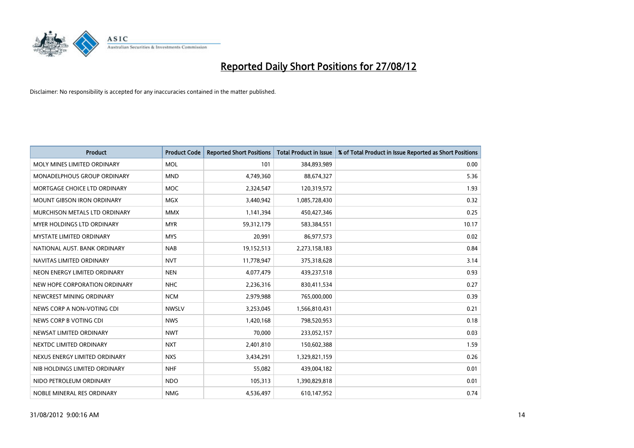

| <b>Product</b>                       | <b>Product Code</b> | <b>Reported Short Positions</b> | <b>Total Product in Issue</b> | % of Total Product in Issue Reported as Short Positions |
|--------------------------------------|---------------------|---------------------------------|-------------------------------|---------------------------------------------------------|
| MOLY MINES LIMITED ORDINARY          | <b>MOL</b>          | 101                             | 384,893,989                   | 0.00                                                    |
| MONADELPHOUS GROUP ORDINARY          | <b>MND</b>          | 4,749,360                       | 88,674,327                    | 5.36                                                    |
| MORTGAGE CHOICE LTD ORDINARY         | <b>MOC</b>          | 2,324,547                       | 120,319,572                   | 1.93                                                    |
| MOUNT GIBSON IRON ORDINARY           | <b>MGX</b>          | 3,440,942                       | 1,085,728,430                 | 0.32                                                    |
| <b>MURCHISON METALS LTD ORDINARY</b> | <b>MMX</b>          | 1,141,394                       | 450,427,346                   | 0.25                                                    |
| <b>MYER HOLDINGS LTD ORDINARY</b>    | <b>MYR</b>          | 59,312,179                      | 583,384,551                   | 10.17                                                   |
| <b>MYSTATE LIMITED ORDINARY</b>      | <b>MYS</b>          | 20,991                          | 86,977,573                    | 0.02                                                    |
| NATIONAL AUST, BANK ORDINARY         | <b>NAB</b>          | 19,152,513                      | 2,273,158,183                 | 0.84                                                    |
| NAVITAS LIMITED ORDINARY             | <b>NVT</b>          | 11,778,947                      | 375,318,628                   | 3.14                                                    |
| NEON ENERGY LIMITED ORDINARY         | <b>NEN</b>          | 4,077,479                       | 439,237,518                   | 0.93                                                    |
| NEW HOPE CORPORATION ORDINARY        | <b>NHC</b>          | 2,236,316                       | 830,411,534                   | 0.27                                                    |
| NEWCREST MINING ORDINARY             | <b>NCM</b>          | 2,979,988                       | 765,000,000                   | 0.39                                                    |
| NEWS CORP A NON-VOTING CDI           | <b>NWSLV</b>        | 3,253,045                       | 1,566,810,431                 | 0.21                                                    |
| NEWS CORP B VOTING CDI               | <b>NWS</b>          | 1,420,168                       | 798,520,953                   | 0.18                                                    |
| NEWSAT LIMITED ORDINARY              | <b>NWT</b>          | 70,000                          | 233,052,157                   | 0.03                                                    |
| NEXTDC LIMITED ORDINARY              | <b>NXT</b>          | 2,401,810                       | 150,602,388                   | 1.59                                                    |
| NEXUS ENERGY LIMITED ORDINARY        | <b>NXS</b>          | 3,434,291                       | 1,329,821,159                 | 0.26                                                    |
| NIB HOLDINGS LIMITED ORDINARY        | <b>NHF</b>          | 55,082                          | 439,004,182                   | 0.01                                                    |
| NIDO PETROLEUM ORDINARY              | <b>NDO</b>          | 105,313                         | 1,390,829,818                 | 0.01                                                    |
| NOBLE MINERAL RES ORDINARY           | <b>NMG</b>          | 4,536,497                       | 610,147,952                   | 0.74                                                    |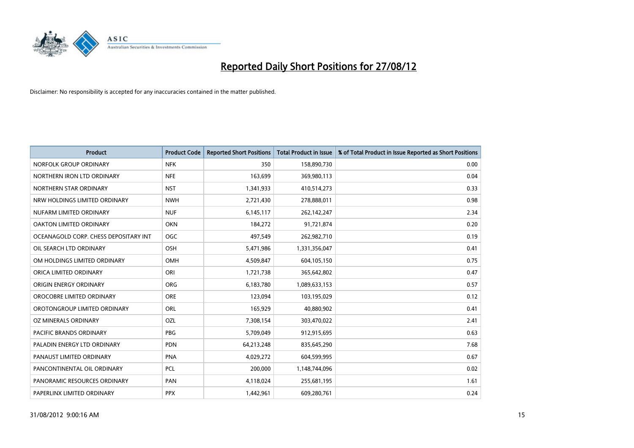

| <b>Product</b>                        | <b>Product Code</b> | <b>Reported Short Positions</b> | <b>Total Product in Issue</b> | % of Total Product in Issue Reported as Short Positions |
|---------------------------------------|---------------------|---------------------------------|-------------------------------|---------------------------------------------------------|
| NORFOLK GROUP ORDINARY                | <b>NFK</b>          | 350                             | 158,890,730                   | 0.00                                                    |
| NORTHERN IRON LTD ORDINARY            | <b>NFE</b>          | 163,699                         | 369,980,113                   | 0.04                                                    |
| NORTHERN STAR ORDINARY                | <b>NST</b>          | 1,341,933                       | 410,514,273                   | 0.33                                                    |
| NRW HOLDINGS LIMITED ORDINARY         | <b>NWH</b>          | 2,721,430                       | 278,888,011                   | 0.98                                                    |
| NUFARM LIMITED ORDINARY               | <b>NUF</b>          | 6,145,117                       | 262,142,247                   | 2.34                                                    |
| OAKTON LIMITED ORDINARY               | <b>OKN</b>          | 184,272                         | 91,721,874                    | 0.20                                                    |
| OCEANAGOLD CORP. CHESS DEPOSITARY INT | <b>OGC</b>          | 497,549                         | 262,982,710                   | 0.19                                                    |
| OIL SEARCH LTD ORDINARY               | OSH                 | 5,471,986                       | 1,331,356,047                 | 0.41                                                    |
| OM HOLDINGS LIMITED ORDINARY          | <b>OMH</b>          | 4,509,847                       | 604,105,150                   | 0.75                                                    |
| ORICA LIMITED ORDINARY                | ORI                 | 1,721,738                       | 365,642,802                   | 0.47                                                    |
| ORIGIN ENERGY ORDINARY                | <b>ORG</b>          | 6,183,780                       | 1,089,633,153                 | 0.57                                                    |
| OROCOBRE LIMITED ORDINARY             | <b>ORE</b>          | 123,094                         | 103,195,029                   | 0.12                                                    |
| OROTONGROUP LIMITED ORDINARY          | <b>ORL</b>          | 165,929                         | 40,880,902                    | 0.41                                                    |
| OZ MINERALS ORDINARY                  | OZL                 | 7,308,154                       | 303,470,022                   | 2.41                                                    |
| <b>PACIFIC BRANDS ORDINARY</b>        | <b>PBG</b>          | 5,709,049                       | 912,915,695                   | 0.63                                                    |
| PALADIN ENERGY LTD ORDINARY           | <b>PDN</b>          | 64,213,248                      | 835,645,290                   | 7.68                                                    |
| PANAUST LIMITED ORDINARY              | <b>PNA</b>          | 4,029,272                       | 604,599,995                   | 0.67                                                    |
| PANCONTINENTAL OIL ORDINARY           | PCL                 | 200,000                         | 1,148,744,096                 | 0.02                                                    |
| PANORAMIC RESOURCES ORDINARY          | PAN                 | 4,118,024                       | 255,681,195                   | 1.61                                                    |
| PAPERLINX LIMITED ORDINARY            | <b>PPX</b>          | 1,442,961                       | 609,280,761                   | 0.24                                                    |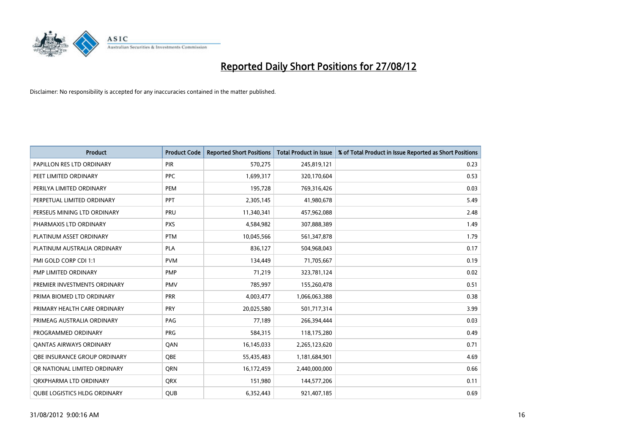

| <b>Product</b>                      | <b>Product Code</b> | <b>Reported Short Positions</b> | <b>Total Product in Issue</b> | % of Total Product in Issue Reported as Short Positions |
|-------------------------------------|---------------------|---------------------------------|-------------------------------|---------------------------------------------------------|
| PAPILLON RES LTD ORDINARY           | <b>PIR</b>          | 570,275                         | 245,819,121                   | 0.23                                                    |
| PEET LIMITED ORDINARY               | <b>PPC</b>          | 1,699,317                       | 320,170,604                   | 0.53                                                    |
| PERILYA LIMITED ORDINARY            | PEM                 | 195,728                         | 769,316,426                   | 0.03                                                    |
| PERPETUAL LIMITED ORDINARY          | <b>PPT</b>          | 2,305,145                       | 41,980,678                    | 5.49                                                    |
| PERSEUS MINING LTD ORDINARY         | PRU                 | 11,340,341                      | 457,962,088                   | 2.48                                                    |
| PHARMAXIS LTD ORDINARY              | <b>PXS</b>          | 4,584,982                       | 307,888,389                   | 1.49                                                    |
| PLATINUM ASSET ORDINARY             | <b>PTM</b>          | 10,045,566                      | 561,347,878                   | 1.79                                                    |
| PLATINUM AUSTRALIA ORDINARY         | <b>PLA</b>          | 836,127                         | 504,968,043                   | 0.17                                                    |
| PMI GOLD CORP CDI 1:1               | <b>PVM</b>          | 134,449                         | 71,705,667                    | 0.19                                                    |
| PMP LIMITED ORDINARY                | <b>PMP</b>          | 71,219                          | 323,781,124                   | 0.02                                                    |
| PREMIER INVESTMENTS ORDINARY        | <b>PMV</b>          | 785,997                         | 155,260,478                   | 0.51                                                    |
| PRIMA BIOMED LTD ORDINARY           | PRR                 | 4,003,477                       | 1,066,063,388                 | 0.38                                                    |
| PRIMARY HEALTH CARE ORDINARY        | <b>PRY</b>          | 20,025,580                      | 501,717,314                   | 3.99                                                    |
| PRIMEAG AUSTRALIA ORDINARY          | PAG                 | 77,189                          | 266,394,444                   | 0.03                                                    |
| PROGRAMMED ORDINARY                 | <b>PRG</b>          | 584,315                         | 118,175,280                   | 0.49                                                    |
| <b>QANTAS AIRWAYS ORDINARY</b>      | QAN                 | 16,145,033                      | 2,265,123,620                 | 0.71                                                    |
| <b>OBE INSURANCE GROUP ORDINARY</b> | <b>OBE</b>          | 55,435,483                      | 1,181,684,901                 | 4.69                                                    |
| OR NATIONAL LIMITED ORDINARY        | <b>ORN</b>          | 16,172,459                      | 2,440,000,000                 | 0.66                                                    |
| ORXPHARMA LTD ORDINARY              | <b>QRX</b>          | 151,980                         | 144,577,206                   | 0.11                                                    |
| <b>QUBE LOGISTICS HLDG ORDINARY</b> | QUB                 | 6,352,443                       | 921,407,185                   | 0.69                                                    |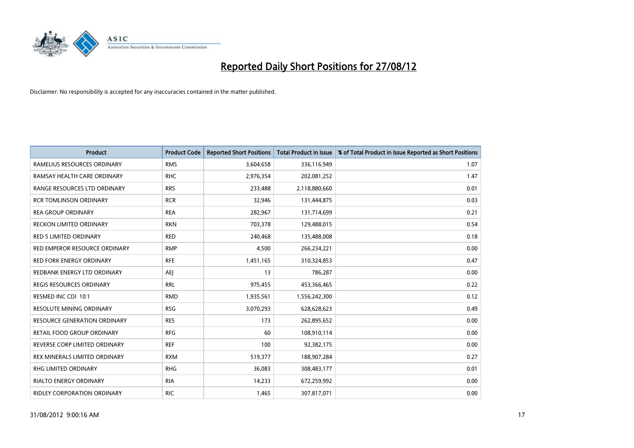

| <b>Product</b>                      | <b>Product Code</b> | <b>Reported Short Positions</b> | <b>Total Product in Issue</b> | % of Total Product in Issue Reported as Short Positions |
|-------------------------------------|---------------------|---------------------------------|-------------------------------|---------------------------------------------------------|
| RAMELIUS RESOURCES ORDINARY         | <b>RMS</b>          | 3,604,658                       | 336,116,949                   | 1.07                                                    |
| RAMSAY HEALTH CARE ORDINARY         | <b>RHC</b>          | 2,976,354                       | 202,081,252                   | 1.47                                                    |
| RANGE RESOURCES LTD ORDINARY        | <b>RRS</b>          | 233,488                         | 2,118,880,660                 | 0.01                                                    |
| <b>RCR TOMLINSON ORDINARY</b>       | <b>RCR</b>          | 32,946                          | 131,444,875                   | 0.03                                                    |
| <b>REA GROUP ORDINARY</b>           | <b>REA</b>          | 282,967                         | 131,714,699                   | 0.21                                                    |
| <b>RECKON LIMITED ORDINARY</b>      | <b>RKN</b>          | 703,378                         | 129,488,015                   | 0.54                                                    |
| <b>RED 5 LIMITED ORDINARY</b>       | <b>RED</b>          | 240.468                         | 135,488,008                   | 0.18                                                    |
| RED EMPEROR RESOURCE ORDINARY       | <b>RMP</b>          | 4,500                           | 266,234,221                   | 0.00                                                    |
| RED FORK ENERGY ORDINARY            | <b>RFE</b>          | 1,451,165                       | 310,324,853                   | 0.47                                                    |
| REDBANK ENERGY LTD ORDINARY         | AEJ                 | 13                              | 786,287                       | 0.00                                                    |
| REGIS RESOURCES ORDINARY            | <b>RRL</b>          | 975,455                         | 453,366,465                   | 0.22                                                    |
| RESMED INC CDI 10:1                 | <b>RMD</b>          | 1,935,561                       | 1,556,242,300                 | 0.12                                                    |
| RESOLUTE MINING ORDINARY            | <b>RSG</b>          | 3,070,293                       | 628,628,623                   | 0.49                                                    |
| <b>RESOURCE GENERATION ORDINARY</b> | <b>RES</b>          | 173                             | 262,895,652                   | 0.00                                                    |
| RETAIL FOOD GROUP ORDINARY          | <b>RFG</b>          | 60                              | 108,910,114                   | 0.00                                                    |
| REVERSE CORP LIMITED ORDINARY       | <b>REF</b>          | 100                             | 92,382,175                    | 0.00                                                    |
| REX MINERALS LIMITED ORDINARY       | <b>RXM</b>          | 519,377                         | 188,907,284                   | 0.27                                                    |
| RHG LIMITED ORDINARY                | <b>RHG</b>          | 36,083                          | 308,483,177                   | 0.01                                                    |
| <b>RIALTO ENERGY ORDINARY</b>       | <b>RIA</b>          | 14,233                          | 672,259,992                   | 0.00                                                    |
| RIDLEY CORPORATION ORDINARY         | <b>RIC</b>          | 1,465                           | 307,817,071                   | 0.00                                                    |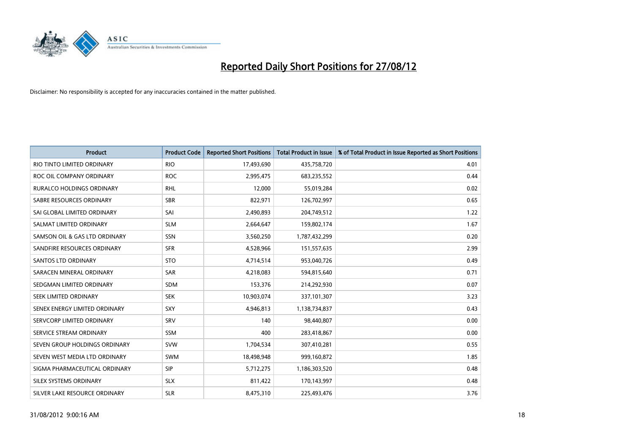

| <b>Product</b>                   | <b>Product Code</b> | <b>Reported Short Positions</b> | <b>Total Product in Issue</b> | % of Total Product in Issue Reported as Short Positions |
|----------------------------------|---------------------|---------------------------------|-------------------------------|---------------------------------------------------------|
| RIO TINTO LIMITED ORDINARY       | <b>RIO</b>          | 17,493,690                      | 435,758,720                   | 4.01                                                    |
| ROC OIL COMPANY ORDINARY         | <b>ROC</b>          | 2,995,475                       | 683,235,552                   | 0.44                                                    |
| <b>RURALCO HOLDINGS ORDINARY</b> | <b>RHL</b>          | 12,000                          | 55,019,284                    | 0.02                                                    |
| SABRE RESOURCES ORDINARY         | <b>SBR</b>          | 822,971                         | 126,702,997                   | 0.65                                                    |
| SAI GLOBAL LIMITED ORDINARY      | SAI                 | 2,490,893                       | 204,749,512                   | 1.22                                                    |
| SALMAT LIMITED ORDINARY          | <b>SLM</b>          | 2,664,647                       | 159,802,174                   | 1.67                                                    |
| SAMSON OIL & GAS LTD ORDINARY    | <b>SSN</b>          | 3,560,250                       | 1,787,432,299                 | 0.20                                                    |
| SANDFIRE RESOURCES ORDINARY      | <b>SFR</b>          | 4,528,966                       | 151,557,635                   | 2.99                                                    |
| SANTOS LTD ORDINARY              | <b>STO</b>          | 4,714,514                       | 953,040,726                   | 0.49                                                    |
| SARACEN MINERAL ORDINARY         | <b>SAR</b>          | 4,218,083                       | 594,815,640                   | 0.71                                                    |
| SEDGMAN LIMITED ORDINARY         | <b>SDM</b>          | 153,376                         | 214,292,930                   | 0.07                                                    |
| <b>SEEK LIMITED ORDINARY</b>     | <b>SEK</b>          | 10,903,074                      | 337,101,307                   | 3.23                                                    |
| SENEX ENERGY LIMITED ORDINARY    | <b>SXY</b>          | 4,946,813                       | 1,138,734,837                 | 0.43                                                    |
| SERVCORP LIMITED ORDINARY        | SRV                 | 140                             | 98,440,807                    | 0.00                                                    |
| SERVICE STREAM ORDINARY          | SSM                 | 400                             | 283,418,867                   | 0.00                                                    |
| SEVEN GROUP HOLDINGS ORDINARY    | <b>SVW</b>          | 1,704,534                       | 307,410,281                   | 0.55                                                    |
| SEVEN WEST MEDIA LTD ORDINARY    | <b>SWM</b>          | 18,498,948                      | 999,160,872                   | 1.85                                                    |
| SIGMA PHARMACEUTICAL ORDINARY    | SIP                 | 5,712,275                       | 1,186,303,520                 | 0.48                                                    |
| SILEX SYSTEMS ORDINARY           | <b>SLX</b>          | 811,422                         | 170,143,997                   | 0.48                                                    |
| SILVER LAKE RESOURCE ORDINARY    | <b>SLR</b>          | 8,475,310                       | 225,493,476                   | 3.76                                                    |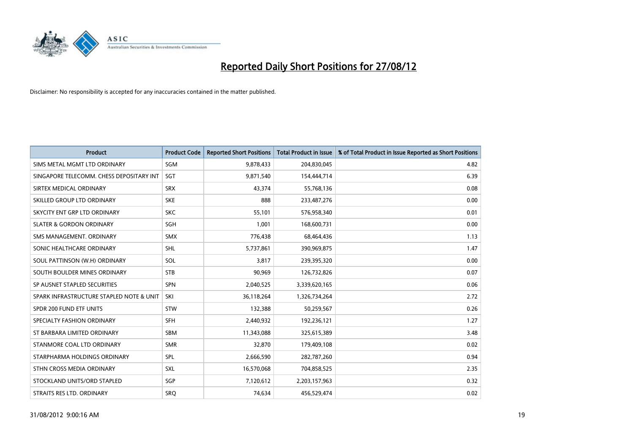

| <b>Product</b>                           | <b>Product Code</b> | <b>Reported Short Positions</b> | <b>Total Product in Issue</b> | % of Total Product in Issue Reported as Short Positions |
|------------------------------------------|---------------------|---------------------------------|-------------------------------|---------------------------------------------------------|
| SIMS METAL MGMT LTD ORDINARY             | SGM                 | 9,878,433                       | 204,830,045                   | 4.82                                                    |
| SINGAPORE TELECOMM. CHESS DEPOSITARY INT | <b>SGT</b>          | 9,871,540                       | 154,444,714                   | 6.39                                                    |
| SIRTEX MEDICAL ORDINARY                  | <b>SRX</b>          | 43,374                          | 55,768,136                    | 0.08                                                    |
| SKILLED GROUP LTD ORDINARY               | <b>SKE</b>          | 888                             | 233,487,276                   | 0.00                                                    |
| SKYCITY ENT GRP LTD ORDINARY             | <b>SKC</b>          | 55,101                          | 576,958,340                   | 0.01                                                    |
| <b>SLATER &amp; GORDON ORDINARY</b>      | <b>SGH</b>          | 1,001                           | 168,600,731                   | 0.00                                                    |
| SMS MANAGEMENT, ORDINARY                 | <b>SMX</b>          | 776,438                         | 68,464,436                    | 1.13                                                    |
| SONIC HEALTHCARE ORDINARY                | <b>SHL</b>          | 5,737,861                       | 390,969,875                   | 1.47                                                    |
| SOUL PATTINSON (W.H) ORDINARY            | SOL                 | 3,817                           | 239,395,320                   | 0.00                                                    |
| SOUTH BOULDER MINES ORDINARY             | <b>STB</b>          | 90,969                          | 126,732,826                   | 0.07                                                    |
| SP AUSNET STAPLED SECURITIES             | <b>SPN</b>          | 2,040,525                       | 3,339,620,165                 | 0.06                                                    |
| SPARK INFRASTRUCTURE STAPLED NOTE & UNIT | SKI                 | 36,118,264                      | 1,326,734,264                 | 2.72                                                    |
| SPDR 200 FUND ETF UNITS                  | <b>STW</b>          | 132,388                         | 50,259,567                    | 0.26                                                    |
| SPECIALTY FASHION ORDINARY               | <b>SFH</b>          | 2,440,932                       | 192,236,121                   | 1.27                                                    |
| ST BARBARA LIMITED ORDINARY              | <b>SBM</b>          | 11,343,088                      | 325,615,389                   | 3.48                                                    |
| STANMORE COAL LTD ORDINARY               | <b>SMR</b>          | 32,870                          | 179,409,108                   | 0.02                                                    |
| STARPHARMA HOLDINGS ORDINARY             | SPL                 | 2,666,590                       | 282,787,260                   | 0.94                                                    |
| STHN CROSS MEDIA ORDINARY                | <b>SXL</b>          | 16,570,068                      | 704,858,525                   | 2.35                                                    |
| STOCKLAND UNITS/ORD STAPLED              | <b>SGP</b>          | 7,120,612                       | 2,203,157,963                 | 0.32                                                    |
| STRAITS RES LTD. ORDINARY                | SRQ                 | 74,634                          | 456,529,474                   | 0.02                                                    |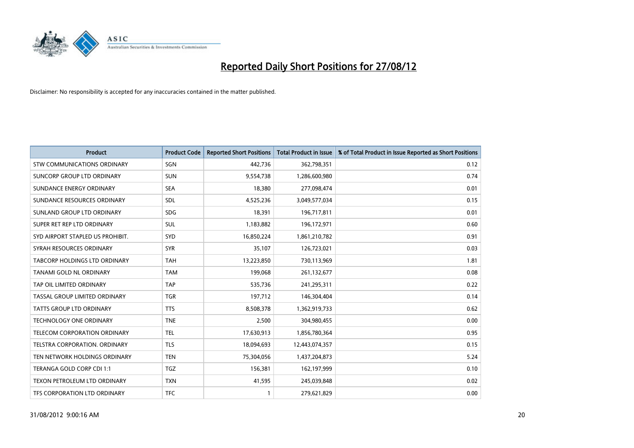

| <b>Product</b>                       | <b>Product Code</b> | <b>Reported Short Positions</b> | <b>Total Product in Issue</b> | % of Total Product in Issue Reported as Short Positions |
|--------------------------------------|---------------------|---------------------------------|-------------------------------|---------------------------------------------------------|
| STW COMMUNICATIONS ORDINARY          | SGN                 | 442,736                         | 362,798,351                   | 0.12                                                    |
| SUNCORP GROUP LTD ORDINARY           | <b>SUN</b>          | 9,554,738                       | 1,286,600,980                 | 0.74                                                    |
| SUNDANCE ENERGY ORDINARY             | <b>SEA</b>          | 18,380                          | 277,098,474                   | 0.01                                                    |
| SUNDANCE RESOURCES ORDINARY          | <b>SDL</b>          | 4,525,236                       | 3,049,577,034                 | 0.15                                                    |
| SUNLAND GROUP LTD ORDINARY           | <b>SDG</b>          | 18,391                          | 196,717,811                   | 0.01                                                    |
| SUPER RET REP LTD ORDINARY           | <b>SUL</b>          | 1,183,882                       | 196,172,971                   | 0.60                                                    |
| SYD AIRPORT STAPLED US PROHIBIT.     | SYD                 | 16,850,224                      | 1,861,210,782                 | 0.91                                                    |
| SYRAH RESOURCES ORDINARY             | <b>SYR</b>          | 35,107                          | 126,723,021                   | 0.03                                                    |
| TABCORP HOLDINGS LTD ORDINARY        | <b>TAH</b>          | 13,223,850                      | 730,113,969                   | 1.81                                                    |
| TANAMI GOLD NL ORDINARY              | <b>TAM</b>          | 199,068                         | 261,132,677                   | 0.08                                                    |
| TAP OIL LIMITED ORDINARY             | <b>TAP</b>          | 535,736                         | 241,295,311                   | 0.22                                                    |
| TASSAL GROUP LIMITED ORDINARY        | <b>TGR</b>          | 197,712                         | 146,304,404                   | 0.14                                                    |
| TATTS GROUP LTD ORDINARY             | <b>TTS</b>          | 8,508,378                       | 1,362,919,733                 | 0.62                                                    |
| <b>TECHNOLOGY ONE ORDINARY</b>       | <b>TNE</b>          | 2,500                           | 304,980,455                   | 0.00                                                    |
| <b>TELECOM CORPORATION ORDINARY</b>  | <b>TEL</b>          | 17,630,913                      | 1,856,780,364                 | 0.95                                                    |
| <b>TELSTRA CORPORATION, ORDINARY</b> | <b>TLS</b>          | 18,094,693                      | 12,443,074,357                | 0.15                                                    |
| TEN NETWORK HOLDINGS ORDINARY        | <b>TEN</b>          | 75,304,056                      | 1,437,204,873                 | 5.24                                                    |
| TERANGA GOLD CORP CDI 1:1            | <b>TGZ</b>          | 156,381                         | 162,197,999                   | 0.10                                                    |
| TEXON PETROLEUM LTD ORDINARY         | <b>TXN</b>          | 41,595                          | 245,039,848                   | 0.02                                                    |
| <b>TFS CORPORATION LTD ORDINARY</b>  | <b>TFC</b>          |                                 | 279,621,829                   | 0.00                                                    |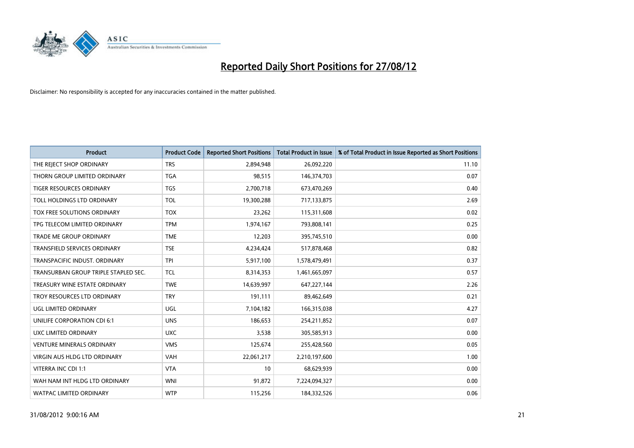

| <b>Product</b>                       | <b>Product Code</b> | <b>Reported Short Positions</b> | <b>Total Product in Issue</b> | % of Total Product in Issue Reported as Short Positions |
|--------------------------------------|---------------------|---------------------------------|-------------------------------|---------------------------------------------------------|
| THE REJECT SHOP ORDINARY             | <b>TRS</b>          | 2,894,948                       | 26,092,220                    | 11.10                                                   |
| THORN GROUP LIMITED ORDINARY         | <b>TGA</b>          | 98,515                          | 146,374,703                   | 0.07                                                    |
| TIGER RESOURCES ORDINARY             | <b>TGS</b>          | 2,700,718                       | 673,470,269                   | 0.40                                                    |
| TOLL HOLDINGS LTD ORDINARY           | <b>TOL</b>          | 19,300,288                      | 717,133,875                   | 2.69                                                    |
| TOX FREE SOLUTIONS ORDINARY          | <b>TOX</b>          | 23,262                          | 115,311,608                   | 0.02                                                    |
| TPG TELECOM LIMITED ORDINARY         | <b>TPM</b>          | 1,974,167                       | 793,808,141                   | 0.25                                                    |
| TRADE ME GROUP ORDINARY              | <b>TME</b>          | 12,203                          | 395,745,510                   | 0.00                                                    |
| TRANSFIELD SERVICES ORDINARY         | <b>TSE</b>          | 4,234,424                       | 517,878,468                   | 0.82                                                    |
| TRANSPACIFIC INDUST, ORDINARY        | <b>TPI</b>          | 5,917,100                       | 1,578,479,491                 | 0.37                                                    |
| TRANSURBAN GROUP TRIPLE STAPLED SEC. | <b>TCL</b>          | 8,314,353                       | 1,461,665,097                 | 0.57                                                    |
| TREASURY WINE ESTATE ORDINARY        | <b>TWE</b>          | 14,639,997                      | 647,227,144                   | 2.26                                                    |
| TROY RESOURCES LTD ORDINARY          | <b>TRY</b>          | 191,111                         | 89,462,649                    | 0.21                                                    |
| UGL LIMITED ORDINARY                 | UGL                 | 7,104,182                       | 166,315,038                   | 4.27                                                    |
| UNILIFE CORPORATION CDI 6:1          | <b>UNS</b>          | 186,653                         | 254,211,852                   | 0.07                                                    |
| UXC LIMITED ORDINARY                 | <b>UXC</b>          | 3,538                           | 305,585,913                   | 0.00                                                    |
| <b>VENTURE MINERALS ORDINARY</b>     | <b>VMS</b>          | 125,674                         | 255,428,560                   | 0.05                                                    |
| VIRGIN AUS HLDG LTD ORDINARY         | VAH                 | 22,061,217                      | 2,210,197,600                 | 1.00                                                    |
| VITERRA INC CDI 1:1                  | <b>VTA</b>          | 10                              | 68,629,939                    | 0.00                                                    |
| WAH NAM INT HLDG LTD ORDINARY        | <b>WNI</b>          | 91,872                          | 7,224,094,327                 | 0.00                                                    |
| <b>WATPAC LIMITED ORDINARY</b>       | <b>WTP</b>          | 115,256                         | 184,332,526                   | 0.06                                                    |